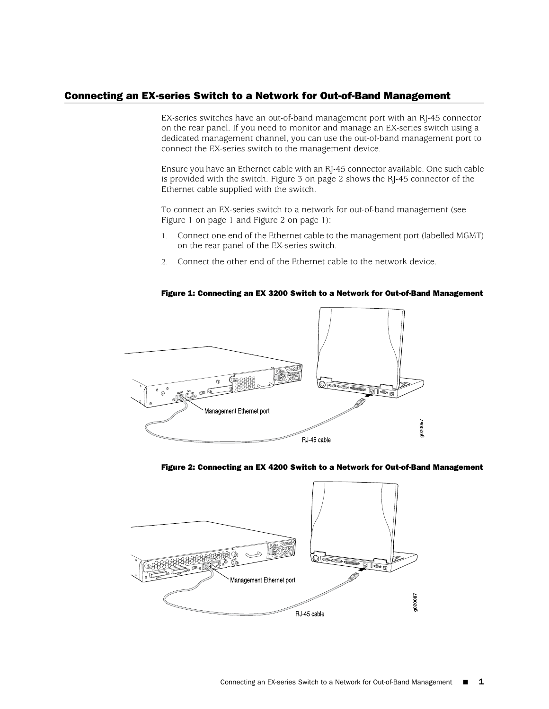## Connecting an EX-series Switch to a Network for Out-of-Band Management

EX-series switches have an out-of-band management port with an RJ-45 connector on the rear panel. If you need to monitor and manage an EX-series switch using a dedicated management channel, you can use the out-of-band management port to connect the EX-series switch to the management device.

Ensure you have an Ethernet cable with an RJ-45 connector available. One such cable is provided with the switch. [Figure 3 on page 2](#page-1-0) shows the RJ-45 connector of the Ethernet cable supplied with the switch.

To connect an EX-series switch to a network for out-of-band management (see [Figure 1 on page 1](#page-0-0) and [Figure 2 on page 1\)](#page-0-1):

- 1. Connect one end of the Ethernet cable to the management port (labelled MGMT) on the rear panel of the EX-series switch.
- <span id="page-0-0"></span>2. Connect the other end of the Ethernet cable to the network device.

# A<del>ü</del> Management Ethernet port g020057 RJ 45 cable

#### Figure 1: Connecting an EX 3200 Switch to a Network for Out-of-Band Management

#### <span id="page-0-1"></span>Figure 2: Connecting an EX 4200 Switch to a Network for Out-of-Band Management